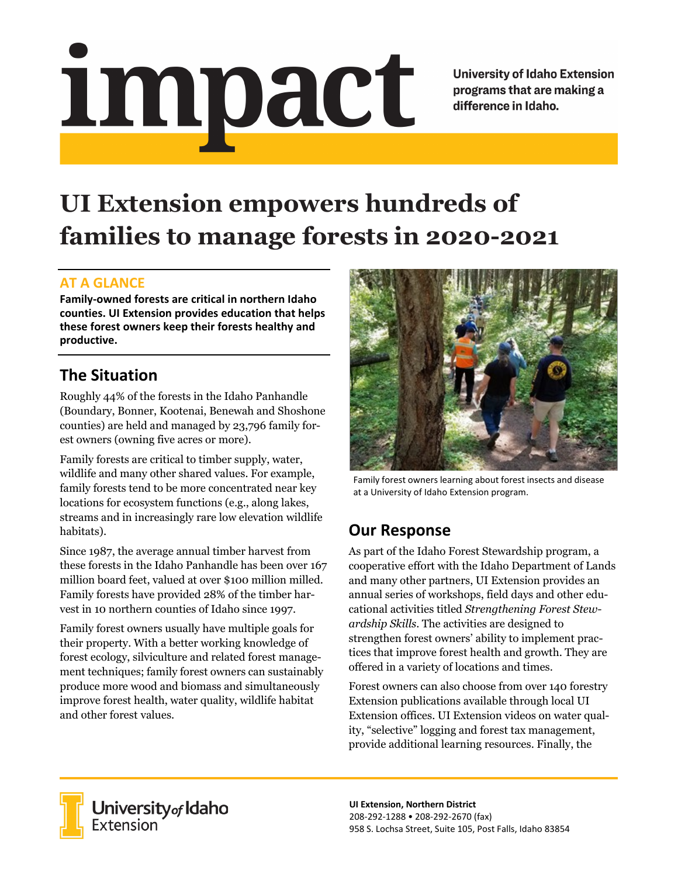# <u>impact</u>

**University of Idaho Extension** programs that are making a difference in Idaho.

# **UI Extension empowers hundreds of families to manage forests in 2020-2021**

#### **AT A GLANCE**

**Family-owned forests are critical in northern Idaho counties. UI Extension provides education that helps these forest owners keep their forests healthy and productive.**

# **The Situation**

Roughly 44% of the forests in the Idaho Panhandle (Boundary, Bonner, Kootenai, Benewah and Shoshone counties) are held and managed by 23,796 family forest owners (owning five acres or more).

Family forests are critical to timber supply, water, wildlife and many other shared values. For example, family forests tend to be more concentrated near key locations for ecosystem functions (e.g., along lakes, streams and in increasingly rare low elevation wildlife habitats).

Since 1987, the average annual timber harvest from these forests in the Idaho Panhandle has been over 167 million board feet, valued at over \$100 million milled. Family forests have provided 28% of the timber harvest in 10 northern counties of Idaho since 1997.

Family forest owners usually have multiple goals for their property. With a better working knowledge of forest ecology, silviculture and related forest management techniques; family forest owners can sustainably produce more wood and biomass and simultaneously improve forest health, water quality, wildlife habitat and other forest values.



Family forest owners learning about forest insects and disease at a University of Idaho Extension program.

# **Our Response**

As part of the Idaho Forest Stewardship program, a cooperative effort with the Idaho Department of Lands and many other partners, UI Extension provides an annual series of workshops, field days and other educational activities titled *Strengthening Forest Stewardship Skills*. The activities are designed to strengthen forest owners' ability to implement practices that improve forest health and growth. They are offered in a variety of locations and times.

Forest owners can also choose from over 140 forestry Extension publications available through local UI Extension offices. UI Extension videos on water quality, "selective" logging and forest tax management, provide additional learning resources. Finally, the



University of Idaho<br>Extension

**UI Extension, Northern District** 208-292-1288 • 208-292-2670 (fax) 958 S. Lochsa Street, Suite 105, Post Falls, Idaho 83854